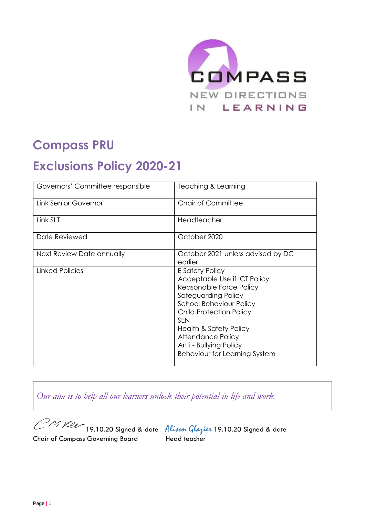

## **Compass PRU**

# **Exclusions Policy 2020-21**

| Governors' Committee responsible | Teaching & Learning                                                                                                                                                                                                                                                                                             |
|----------------------------------|-----------------------------------------------------------------------------------------------------------------------------------------------------------------------------------------------------------------------------------------------------------------------------------------------------------------|
| <b>Link Senior Governor</b>      | <b>Chair of Committee</b>                                                                                                                                                                                                                                                                                       |
| Link SLT                         | Headteacher                                                                                                                                                                                                                                                                                                     |
| Date Reviewed                    | October 2020                                                                                                                                                                                                                                                                                                    |
| Next Review Date annually        | October 2021 unless advised by DC<br>earlier                                                                                                                                                                                                                                                                    |
| Linked Policies                  | E Safety Policy<br>Acceptable Use if ICT Policy<br>Reasonable Force Policy<br>Safeguarding Policy<br><b>School Behaviour Policy</b><br><b>Child Protection Policy</b><br><b>SFN</b><br><b>Health &amp; Safety Policy</b><br>Attendance Policy<br>Anti - Bullying Policy<br><b>Behaviour for Learning System</b> |

*Our aim is to help all our learners unlock their potential in life and work*

Chair of Compass Governing Board Head teacher

CM Yee 19.10.20 Signed & date Alison Glazier 19.10.20 Signed & date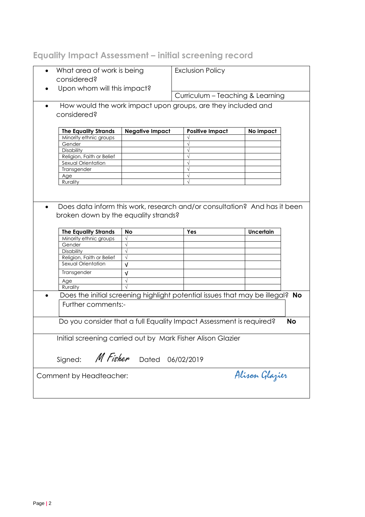## **Equality Impact Assessment – initial screening record**

| What area of work is being<br>considered?       |                                      | <b>Exclusion Policy</b>                                                       |                  |           |
|-------------------------------------------------|--------------------------------------|-------------------------------------------------------------------------------|------------------|-----------|
| Upon whom will this impact?                     |                                      | Curriculum - Teaching & Learning                                              |                  |           |
|                                                 |                                      |                                                                               |                  |           |
| considered?                                     |                                      | How would the work impact upon groups, are they included and                  |                  |           |
|                                                 |                                      |                                                                               |                  |           |
| <b>The Equality Strands</b>                     | <b>Negative Impact</b>               | <b>Positive Impact</b>                                                        | No impact        |           |
| Minority ethnic groups                          |                                      |                                                                               |                  |           |
| Gender                                          |                                      |                                                                               |                  |           |
|                                                 |                                      |                                                                               |                  |           |
| Disability                                      |                                      |                                                                               |                  |           |
| Religion, Faith or Belief                       |                                      |                                                                               |                  |           |
| Sexual Orientation                              |                                      |                                                                               |                  |           |
| Transgender                                     |                                      |                                                                               |                  |           |
| Age                                             |                                      |                                                                               |                  |           |
| Rurality                                        |                                      |                                                                               |                  |           |
|                                                 | broken down by the equality strands? |                                                                               |                  |           |
|                                                 | <b>No</b>                            | Yes                                                                           | <b>Uncertain</b> |           |
| <b>The Equality Strands</b>                     | $\sqrt{}$                            |                                                                               |                  |           |
| Minority ethnic groups<br>Gender                | $\sqrt{}$                            |                                                                               |                  |           |
| Disability                                      | $\sqrt{}$                            |                                                                               |                  |           |
|                                                 | $\sqrt{}$                            |                                                                               |                  |           |
| Religion, Faith or Belief<br>Sexual Orientation |                                      |                                                                               |                  |           |
|                                                 | $\sqrt{ }$                           |                                                                               |                  |           |
| Transgender                                     | v                                    |                                                                               |                  |           |
| Age                                             |                                      |                                                                               |                  |           |
| Rurality                                        |                                      |                                                                               |                  |           |
| Further comments:-                              |                                      | Does the initial screening highlight potential issues that may be illegal? No |                  |           |
|                                                 |                                      |                                                                               |                  |           |
|                                                 |                                      | Do you consider that a full Equality Impact Assessment is required?           |                  | <b>No</b> |
|                                                 |                                      |                                                                               |                  |           |
|                                                 |                                      |                                                                               |                  |           |
|                                                 |                                      | Initial screening carried out by Mark Fisher Alison Glazier                   |                  |           |
|                                                 |                                      |                                                                               |                  |           |
| M Fisher<br>Signed:                             | Dated                                | 06/02/2019                                                                    |                  |           |
|                                                 |                                      |                                                                               |                  |           |
| Comment by Headteacher:                         |                                      |                                                                               | Alisan Glazier   |           |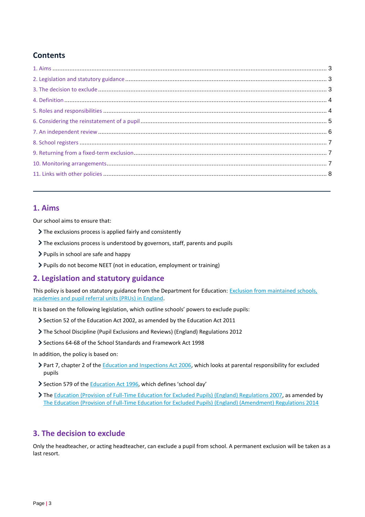## **Contents**

## **1. Aims**

Our school aims to ensure that:

- The exclusions process is applied fairly and consistently
- The exclusions process is understood by governors, staff, parents and pupils
- $\triangleright$  Pupils in school are safe and happy
- > Pupils do not become NEET (not in education, employment or training)

## **2. Legislation and statutory guidance**

This policy is based on statutory guidance from the Department for Education: Exclusion from maintained schools, [academies and pupil referral units \(PRUs\) in England.](https://www.gov.uk/government/publications/school-exclusion)

It is based on the following legislation, which outline schools' powers to exclude pupils:

- Section 52 of the [Education Act 2002,](http://www.legislation.gov.uk/ukpga/2002/32/section/52) as amended by the [Education Act 2011](http://www.legislation.gov.uk/ukpga/2011/21/contents/enacted)
- [The School Discipline \(Pupil Exclusions and Reviews\) \(England\) Regulations 2012](http://www.legislation.gov.uk/uksi/2012/1033/made)
- Sections 64-68 of the [School Standards and Framework Act 1998](http://www.legislation.gov.uk/ukpga/1998/31)

In addition, the policy is based on:

- > Part 7, chapter 2 of the [Education and Inspections Act 2006,](http://www.legislation.gov.uk/ukpga/2006/40/part/7/chapter/2) which looks at parental responsibility for excluded pupils
- Section 579 of the [Education Act 1996](http://www.legislation.gov.uk/ukpga/1996/56/section/579), which defines 'school day'
- The [Education \(Provision of Full-Time Education for Excluded Pupils\) \(England\) Regulations 2007,](http://www.legislation.gov.uk/uksi/2007/1870/contents/made) as amended by [The Education \(Provision of Full-Time Education for Excluded Pupils\) \(England\) \(Amendment\) Regulations 2014](http://www.legislation.gov.uk/uksi/2014/3216/contents/made)

## **3. The decision to exclude**

Only the headteacher, or acting headteacher, can exclude a pupil from school. A permanent exclusion will be taken as a last resort.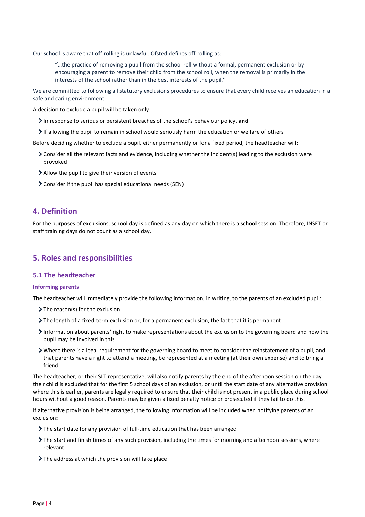Our school is aware that off-rolling is unlawful. Ofsted defines off-rolling as:

"…the practice of removing a pupil from the school roll without a formal, permanent exclusion or by encouraging a parent to remove their child from the school roll, when the removal is primarily in the interests of the school rather than in the best interests of the pupil."

We are committed to following all statutory exclusions procedures to ensure that every child receives an education in a safe and caring environment.

A decision to exclude a pupil will be taken only:

- In response to serious or persistent breaches of the school's behaviour policy, **and**
- If allowing the pupil to remain in school would seriously harm the education or welfare of others

Before deciding whether to exclude a pupil, either permanently or for a fixed period, the headteacher will:

- Consider all the relevant facts and evidence, including whether the incident(s) leading to the exclusion were provoked
- Allow the pupil to give their version of events
- Consider if the pupil has special educational needs (SEN)

### **4. Definition**

For the purposes of exclusions, school day is defined as any day on which there is a school session. Therefore, INSET or staff training days do not count as a school day.

## **5. Roles and responsibilities**

#### **5.1 The headteacher**

#### **Informing parents**

The headteacher will immediately provide the following information, in writing, to the parents of an excluded pupil:

- $\sum$  The reason(s) for the exclusion
- The length of a fixed-term exclusion or, for a permanent exclusion, the fact that it is permanent
- Information about parents' right to make representations about the exclusion to the governing board and how the pupil may be involved in this
- Where there is a legal requirement for the governing board to meet to consider the reinstatement of a pupil, and that parents have a right to attend a meeting, be represented at a meeting (at their own expense) and to bring a friend

The headteacher, or their SLT representative, will also notify parents by the end of the afternoon session on the day their child is excluded that for the first 5 school days of an exclusion, or until the start date of any alternative provision where this is earlier, parents are legally required to ensure that their child is not present in a public place during school hours without a good reason. Parents may be given a fixed penalty notice or prosecuted if they fail to do this.

If alternative provision is being arranged, the following information will be included when notifying parents of an exclusion:

- $\sum$  The start date for any provision of full-time education that has been arranged
- The start and finish times of any such provision, including the times for morning and afternoon sessions, where relevant
- $\sum$  The address at which the provision will take place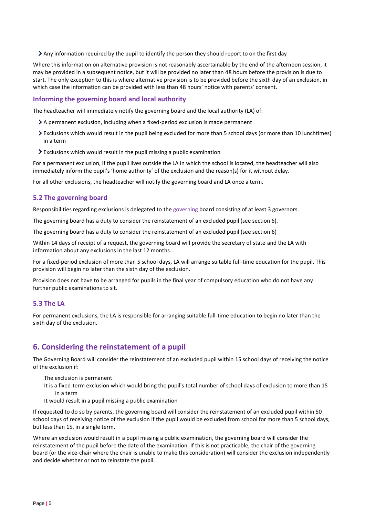$\sum$  Any information required by the pupil to identify the person they should report to on the first day

Where this information on alternative provision is not reasonably ascertainable by the end of the afternoon session, it may be provided in a subsequent notice, but it will be provided no later than 48 hours before the provision is due to start. The only exception to this is where alternative provision is to be provided before the sixth day of an exclusion, in which case the information can be provided with less than 48 hours' notice with parents' consent.

#### **Informing the governing board and local authority**

The headteacher will immediately notify the governing board and the local authority (LA) of:

- A permanent exclusion, including when a fixed-period exclusion is made permanent
- Exclusions which would result in the pupil being excluded for more than 5 school days (or more than 10 lunchtimes) in a term
- Exclusions which would result in the pupil missing a public examination

For a permanent exclusion, if the pupil lives outside the LA in which the school is located, the headteacher will also immediately inform the pupil's 'home authority' of the exclusion and the reason(s) for it without delay.

For all other exclusions, the headteacher will notify the governing board and LA once a term.

#### **5.2 The governing board**

Responsibilities regarding exclusions is delegated to the governing board consisting of at least 3 governors.

The governing board has a duty to consider the reinstatement of an excluded pupil (see section 6).

The governing board has a duty to consider the reinstatement of an excluded pupil (see section 6)

Within 14 days of receipt of a request, the governing board will provide the secretary of state and the LA with information about any exclusions in the last 12 months.

For a fixed-period exclusion of more than 5 school days, LA will arrange suitable full-time education for the pupil. This provision will begin no later than the sixth day of the exclusion.

Provision does not have to be arranged for pupils in the final year of compulsory education who do not have any further public examinations to sit.

#### **5.3 The LA**

For permanent exclusions, the LA is responsible for arranging suitable full-time education to begin no later than the sixth day of the exclusion.

## **6. Considering the reinstatement of a pupil**

The Governing Board will consider the reinstatement of an excluded pupil within 15 school days of receiving the notice of the exclusion if:

- The exclusion is permanent
- It is a fixed-term exclusion which would bring the pupil's total number of school days of exclusion to more than 15 in a term
- It would result in a pupil missing a public examination

If requested to do so by parents, the governing board will consider the reinstatement of an excluded pupil within 50 school days of receiving notice of the exclusion if the pupil would be excluded from school for more than 5 school days, but less than 15, in a single term.

Where an exclusion would result in a pupil missing a public examination, the governing board will consider the reinstatement of the pupil before the date of the examination. If this is not practicable, the chair of the governing board (or the vice-chair where the chair is unable to make this consideration) will consider the exclusion independently and decide whether or not to reinstate the pupil.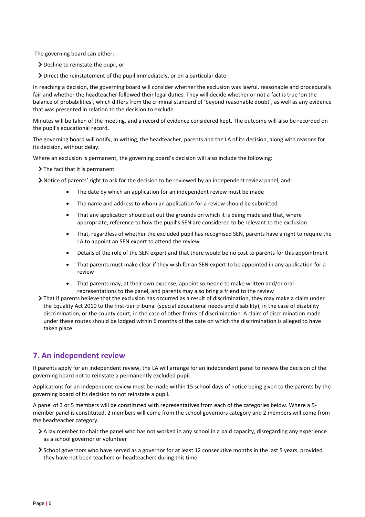The governing board can either:

- Decline to reinstate the pupil, or
- Direct the reinstatement of the pupil immediately, or on a particular date

In reaching a decision, the governing board will consider whether the exclusion was lawful, reasonable and procedurally fair and whether the headteacher followed their legal duties. They will decide whether or not a fact is true 'on the balance of probabilities', which differs from the criminal standard of 'beyond reasonable doubt', as well as any evidence that was presented in relation to the decision to exclude.

Minutes will be taken of the meeting, and a record of evidence considered kept. The outcome will also be recorded on the pupil's educational record.

The governing board will notify, in writing, the headteacher, parents and the LA of its decision, along with reasons for its decision, without delay.

Where an exclusion is permanent, the governing board's decision will also include the following:

 $\sum$  The fact that it is permanent

Notice of parents' right to ask for the decision to be reviewed by an independent review panel, and:

- The date by which an application for an independent review must be made
- The name and address to whom an application for a review should be submitted
- That any application should set out the grounds on which it is being made and that, where appropriate, reference to how the pupil's SEN are considered to be relevant to the exclusion
- That, regardless of whether the excluded pupil has recognised SEN, parents have a right to require the LA to appoint an SEN expert to attend the review
- Details of the role of the SEN expert and that there would be no cost to parents for this appointment
- That parents must make clear if they wish for an SEN expert to be appointed in any application for a review
- That parents may, at their own expense, appoint someone to make written and/or oral representations to the panel, and parents may also bring a friend to the review
- That if parents believe that the exclusion has occurred as a result of discrimination, they may make a claim under the Equality Act 2010 to the first-tier tribunal (special educational needs and disability), in the case of disability discrimination, or the county court, in the case of other forms of discrimination. A claim of discrimination made under these routes should be lodged within 6 months of the date on which the discrimination is alleged to have taken place

## **7. An independent review**

If parents apply for an independent review, the LA will arrange for an independent panel to review the decision of the governing board not to reinstate a permanently excluded pupil.

Applications for an independent review must be made within 15 school days of notice being given to the parents by the governing board of its decision to not reinstate a pupil.

A panel of 3 or 5 members will be constituted with representatives from each of the categories below. Where a 5 member panel is constituted, 2 members will come from the school governors category and 2 members will come from the headteacher category.

- A lay member to chair the panel who has not worked in any school in a paid capacity, disregarding any experience as a school governor or volunteer
- School governors who have served as a governor for at least 12 consecutive months in the last 5 years, provided they have not been teachers or headteachers during this time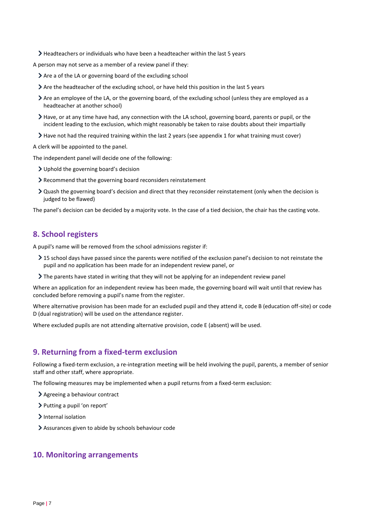- $\blacktriangleright$  Headteachers or individuals who have been a headteacher within the last 5 years
- A person may not serve as a member of a review panel if they:
	- Are a of the LA or governing board of the excluding school
	- Are the headteacher of the excluding school, or have held this position in the last 5 years
	- Are an employee of the LA, or the governing board, of the excluding school (unless they are employed as a headteacher at another school)
	- Have, or at any time have had, any connection with the LA school, governing board, parents or pupil, or the incident leading to the exclusion, which might reasonably be taken to raise doubts about their impartially
	- Have not had the required training within the last 2 years (see appendix 1 for what training must cover)

A clerk will be appointed to the panel.

The independent panel will decide one of the following:

- Uphold the governing board's decision
- Recommend that the governing board reconsiders reinstatement
- Quash the governing board's decision and direct that they reconsider reinstatement (only when the decision is judged to be flawed)

The panel's decision can be decided by a majority vote. In the case of a tied decision, the chair has the casting vote.

## **8. School registers**

A pupil's name will be removed from the school admissions register if:

- > 15 school days have passed since the parents were notified of the exclusion panel's decision to not reinstate the pupil and no application has been made for an independent review panel, or
- The parents have stated in writing that they will not be applying for an independent review panel

Where an application for an independent review has been made, the governing board will wait until that review has concluded before removing a pupil's name from the register.

Where alternative provision has been made for an excluded pupil and they attend it, code B (education off-site) or code D (dual registration) will be used on the attendance register.

Where excluded pupils are not attending alternative provision, code E (absent) will be used.

## **9. Returning from a fixed-term exclusion**

Following a fixed-term exclusion, a re-integration meeting will be held involving the pupil, parents, a member of senior staff and other staff, where appropriate.

The following measures may be implemented when a pupil returns from a fixed-term exclusion:

- Agreeing a behaviour contract
- > Putting a pupil 'on report'
- > Internal isolation
- Assurances given to abide by schools behaviour code

### **10. Monitoring arrangements**